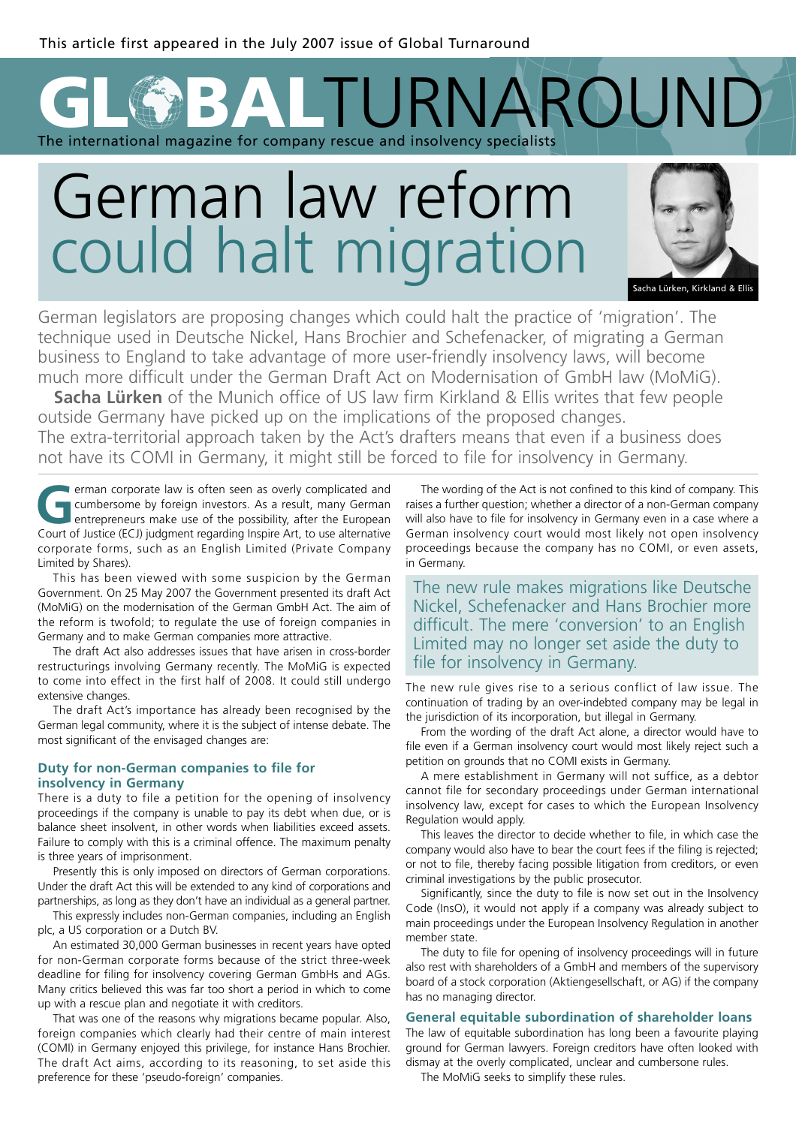## **GBALTURNAROUND** The international magazine for company rescue and insolvency specialists

# German law reform could halt migration



Sacha Lürken, Kirkland & Ellis

German legislators are proposing changes which could halt the practice of 'migration'. The technique used in Deutsche Nickel, Hans Brochier and Schefenacker, of migrating a German business to England to take advantage of more user-friendly insolvency laws, will become much more difficult under the German Draft Act on Modernisation of GmbH law (MoMiG).

**Sacha Lürken** of the Munich office of US law firm Kirkland & Ellis writes that few people outside Germany have picked up on the implications of the proposed changes. The extra-territorial approach taken by the Act's drafters means that even if a business does not have its COMI in Germany, it might still be forced to file for insolvency in Germany.

**GERMAN CONTROVER CONTROLLED CONTROLLED CONTROLLED CONTROLLED CONTROLLED CONTROLLED CONTROLLED CONTROLLED CONTROLLED CONTROLLED CONTROLLED CONTROLLED CONTROLLED CONTROLLED CONTROLLED CONTROLLED CONTROLLED CONTROLLED CONTRO** cumbersome by foreign investors. As a result, many German entrepreneurs make use of the possibility, after the European Court of Justice (ECJ) judgment regarding Inspire Art, to use alternative corporate forms, such as an English Limited (Private Company Limited by Shares).

This has been viewed with some suspicion by the German Government. On 25 May 2007 the Government presented its draft Act (MoMiG) on the modernisation of the German GmbH Act. The aim of the reform is twofold; to regulate the use of foreign companies in Germany and to make German companies more attractive.

The draft Act also addresses issues that have arisen in cross-border restructurings involving Germany recently. The MoMiG is expected to come into effect in the first half of 2008. It could still undergo extensive changes.

The draft Act's importance has already been recognised by the German legal community, where it is the subject of intense debate. The most significant of the envisaged changes are:

#### **Duty for non-German companies to file for insolvency in Germany**

There is a duty to file a petition for the opening of insolvency proceedings if the company is unable to pay its debt when due, or is balance sheet insolvent, in other words when liabilities exceed assets. Failure to comply with this is a criminal offence. The maximum penalty is three years of imprisonment.

Presently this is only imposed on directors of German corporations. Under the draft Act this will be extended to any kind of corporations and partnerships, as long as they don't have an individual as a general partner.

This expressly includes non-German companies, including an English plc, a US corporation or a Dutch BV.

An estimated 30,000 German businesses in recent years have opted for non-German corporate forms because of the strict three-week deadline for filing for insolvency covering German GmbHs and AGs. Many critics believed this was far too short a period in which to come up with a rescue plan and negotiate it with creditors.

That was one of the reasons why migrations became popular. Also, foreign companies which clearly had their centre of main interest (COMI) in Germany enjoyed this privilege, for instance Hans Brochier. The draft Act aims, according to its reasoning, to set aside this preference for these 'pseudo-foreign' companies.

The wording of the Act is not confined to this kind of company. This raises a further question; whether a director of a non-German company will also have to file for insolvency in Germany even in a case where a German insolvency court would most likely not open insolvency proceedings because the company has no COMI, or even assets, in Germany.

The new rule makes migrations like Deutsche Nickel, Schefenacker and Hans Brochier more difficult. The mere 'conversion' to an English Limited may no longer set aside the duty to file for insolvency in Germany.

The new rule gives rise to a serious conflict of law issue. The continuation of trading by an over-indebted company may be legal in the jurisdiction of its incorporation, but illegal in Germany.

From the wording of the draft Act alone, a director would have to file even if a German insolvency court would most likely reject such a petition on grounds that no COMI exists in Germany.

A mere establishment in Germany will not suffice, as a debtor cannot file for secondary proceedings under German international insolvency law, except for cases to which the European Insolvency Regulation would apply.

This leaves the director to decide whether to file, in which case the company would also have to bear the court fees if the filing is rejected; or not to file, thereby facing possible litigation from creditors, or even criminal investigations by the public prosecutor.

Significantly, since the duty to file is now set out in the Insolvency Code (InsO), it would not apply if a company was already subject to main proceedings under the European Insolvency Regulation in another member state.

The duty to file for opening of insolvency proceedings will in future also rest with shareholders of a GmbH and members of the supervisory board of a stock corporation (Aktiengesellschaft, or AG) if the company has no managing director.

## **General equitable subordination of shareholder loans**

The law of equitable subordination has long been a favourite playing ground for German lawyers. Foreign creditors have often looked with dismay at the overly complicated, unclear and cumbersone rules.

The MoMiG seeks to simplify these rules.